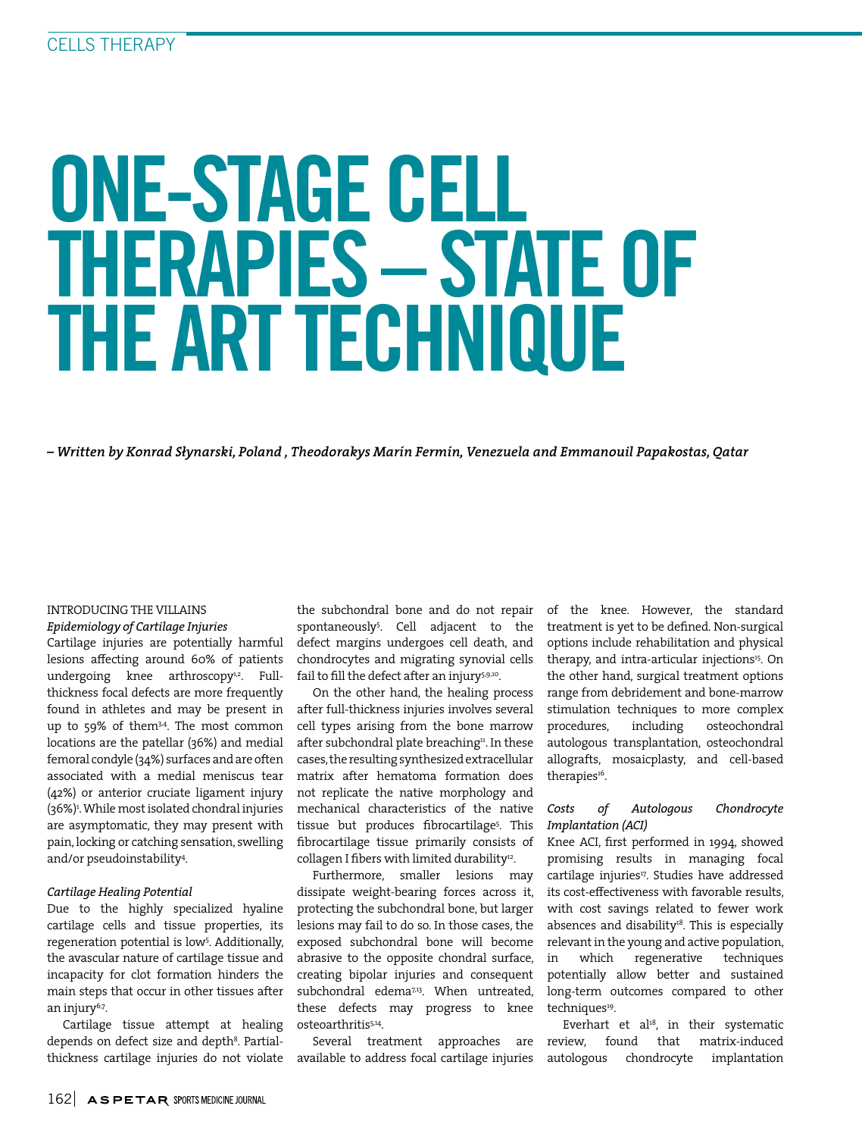# ONE-STAGE CELL THERAPIES – STATE OF THE ART TECHNIQUE

*– Written by Konrad Słynarski, Poland , Theodorakys Marín Fermín, Venezuela and Emmanouil Papakostas, Qatar*

# INTRODUCING THE VILLAINS

*Epidemiology of Cartilage Injuries*

Cartilage injuries are potentially harmful lesions affecting around 60% of patients undergoing knee arthroscopy<sup>1,2</sup>. Fullthickness focal defects are more frequently found in athletes and may be present in up to 59% of them<sup>34</sup>. The most common locations are the patellar (36%) and medial femoral condyle (34%) surfaces and are often associated with a medial meniscus tear (42%) or anterior cruciate ligament injury (36%)1 . While most isolated chondral injuries are asymptomatic, they may present with pain, locking or catching sensation, swelling and/or pseudoinstability4 .

# *Cartilage Healing Potential*

Due to the highly specialized hyaline cartilage cells and tissue properties, its regeneration potential is low<sup>5</sup>. Additionally, the avascular nature of cartilage tissue and incapacity for clot formation hinders the main steps that occur in other tissues after an injury6,7.

Cartilage tissue attempt at healing depends on defect size and depth<sup>8</sup>. Partialthickness cartilage injuries do not violate the subchondral bone and do not repair spontaneously5 . Cell adjacent to the defect margins undergoes cell death, and chondrocytes and migrating synovial cells fail to fill the defect after an injury5,9,10.

On the other hand, the healing process after full-thickness injuries involves several cell types arising from the bone marrow after subchondral plate breaching<sup>11</sup>. In these cases, the resulting synthesized extracellular matrix after hematoma formation does not replicate the native morphology and mechanical characteristics of the native tissue but produces fibrocartilage<sup>5</sup>. This fibrocartilage tissue primarily consists of collagen I fibers with limited durability<sup>12</sup>.

Furthermore, smaller lesions may dissipate weight-bearing forces across it, protecting the subchondral bone, but larger lesions may fail to do so. In those cases, the exposed subchondral bone will become abrasive to the opposite chondral surface, creating bipolar injuries and consequent subchondral edema<sup>7,13</sup>. When untreated, these defects may progress to knee osteoarthritis5,14.

Several treatment approaches are available to address focal cartilage injuries of the knee. However, the standard treatment is yet to be defined. Non-surgical options include rehabilitation and physical therapy, and intra-articular injections<sup>15</sup>. On the other hand, surgical treatment options range from debridement and bone-marrow stimulation techniques to more complex procedures, including osteochondral autologous transplantation, osteochondral allografts, mosaicplasty, and cell-based therapies<sup>16</sup>.

# *Costs of Autologous Chondrocyte Implantation (ACI)*

Knee ACI, first performed in 1994, showed promising results in managing focal cartilage injuries<sup>17</sup>. Studies have addressed its cost-effectiveness with favorable results, with cost savings related to fewer work absences and disability<sup>18</sup>. This is especially relevant in the young and active population, in which regenerative techniques potentially allow better and sustained long-term outcomes compared to other techniques<sup>19</sup>.

Everhart et al<sup>18</sup>, in their systematic review, found that matrix-induced autologous chondrocyte implantation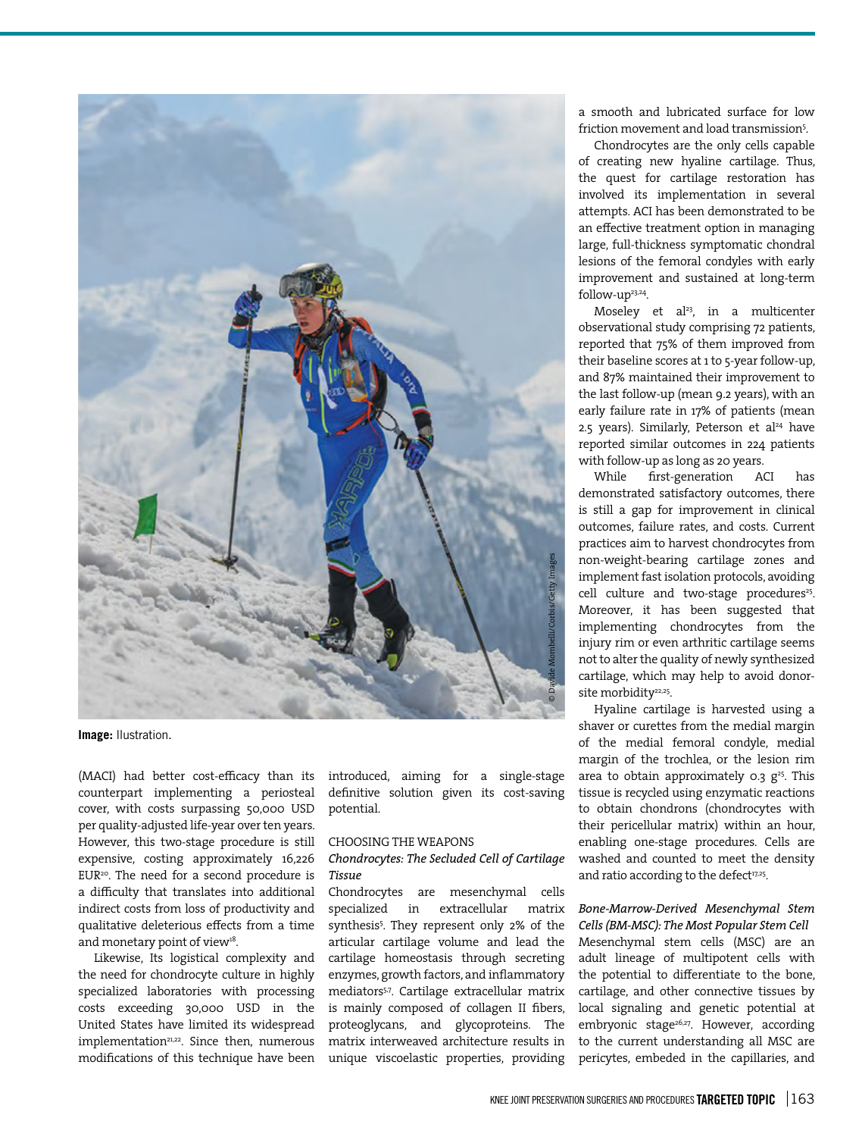

**Image:** llustration.

(MACI) had better cost-efficacy than its counterpart implementing a periosteal cover, with costs surpassing 50,000 USD per quality-adjusted life-year over ten years. However, this two-stage procedure is still expensive, costing approximately 16,226 EUR<sup>20</sup>. The need for a second procedure is a difficulty that translates into additional indirect costs from loss of productivity and qualitative deleterious effects from a time and monetary point of view<sup>18</sup>.

Likewise, Its logistical complexity and the need for chondrocyte culture in highly specialized laboratories with processing costs exceeding 30,000 USD in the United States have limited its widespread implementation<sup>21,22</sup>. Since then, numerous modifications of this technique have been

introduced, aiming for a single-stage definitive solution given its cost-saving potential.

#### CHOOSING THE WEAPONS

# *Chondrocytes: The Secluded Cell of Cartilage Tissue*

Chondrocytes are mesenchymal cells specialized in extracellular matrix synthesis<sup>5</sup>. They represent only 2% of the articular cartilage volume and lead the cartilage homeostasis through secreting enzymes, growth factors, and inflammatory mediators<sup>5,7</sup>. Cartilage extracellular matrix is mainly composed of collagen II fibers, proteoglycans, and glycoproteins. The matrix interweaved architecture results in unique viscoelastic properties, providing

a smooth and lubricated surface for low friction movement and load transmission<sup>5</sup>.

Chondrocytes are the only cells capable of creating new hyaline cartilage. Thus, the quest for cartilage restoration has involved its implementation in several attempts. ACI has been demonstrated to be an effective treatment option in managing large, full-thickness symptomatic chondral lesions of the femoral condyles with early improvement and sustained at long-term follow-up23,24.

Moseley et al<sup>23</sup>, in a multicenter observational study comprising 72 patients, reported that 75% of them improved from their baseline scores at 1 to 5-year follow-up, and 87% maintained their improvement to the last follow-up (mean 9.2 years), with an early failure rate in 17% of patients (mean 2.5 years). Similarly, Peterson et al<sup>24</sup> have reported similar outcomes in 224 patients with follow-up as long as 20 years.

While first-generation ACI has demonstrated satisfactory outcomes, there is still a gap for improvement in clinical outcomes, failure rates, and costs. Current practices aim to harvest chondrocytes from non-weight-bearing cartilage zones and implement fast isolation protocols, avoiding cell culture and two-stage procedures<sup>25</sup>. Moreover, it has been suggested that implementing chondrocytes from the injury rim or even arthritic cartilage seems not to alter the quality of newly synthesized cartilage, which may help to avoid donorsite morbidity<sup>22,25</sup>.

Hyaline cartilage is harvested using a shaver or curettes from the medial margin of the medial femoral condyle, medial margin of the trochlea, or the lesion rim area to obtain approximately 0.3  $g^{25}$ . This tissue is recycled using enzymatic reactions to obtain chondrons (chondrocytes with their pericellular matrix) within an hour, enabling one-stage procedures. Cells are washed and counted to meet the density and ratio according to the defect<sup>17,25</sup>.

*Bone-Marrow-Derived Mesenchymal Stem Cells (BM-MSC): The Most Popular Stem Cell* Mesenchymal stem cells (MSC) are an adult lineage of multipotent cells with the potential to differentiate to the bone, cartilage, and other connective tissues by local signaling and genetic potential at embryonic stage<sup>26,27</sup>. However, according to the current understanding all MSC are pericytes, embeded in the capillaries, and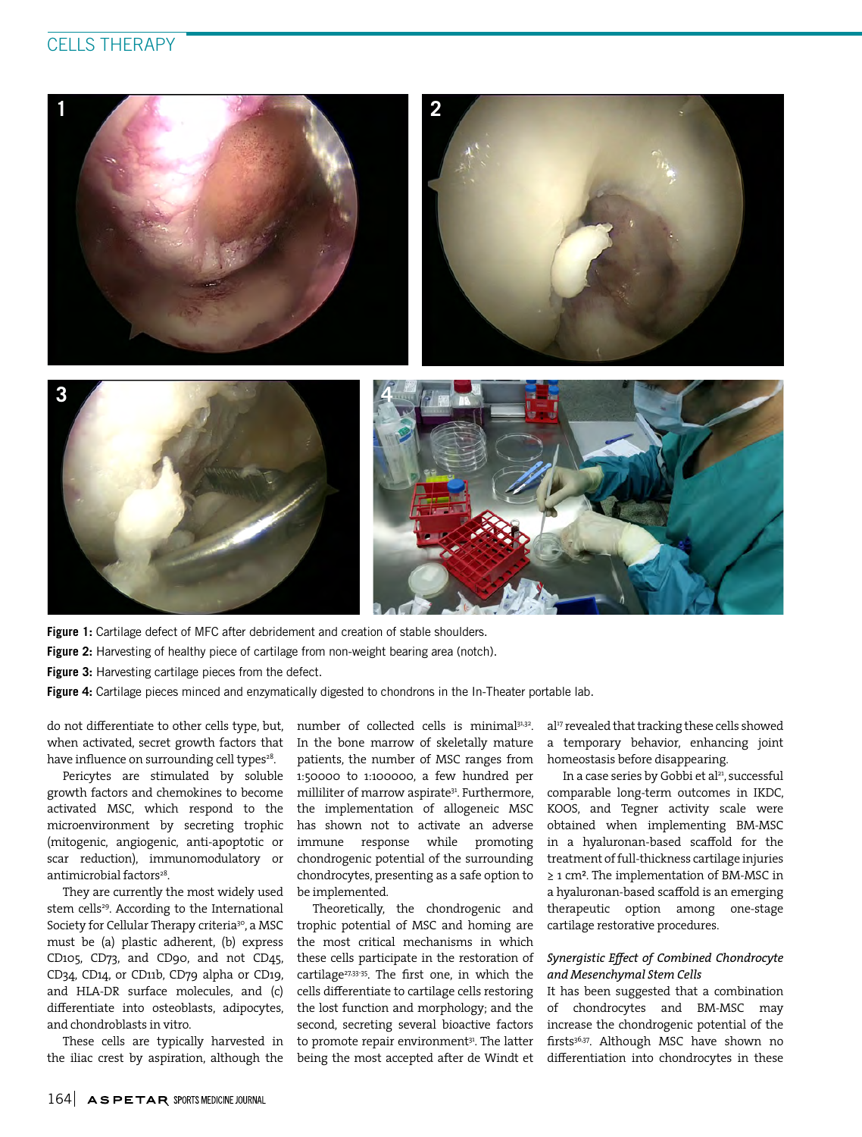# CELLS THERAPY



Figure 1: Cartilage defect of MFC after debridement and creation of stable shoulders.

Figure 2: Harvesting of healthy piece of cartilage from non-weight bearing area (notch).

Figure 3: Harvesting cartilage pieces from the defect.

**Figure 4:** Cartilage pieces minced and enzymatically digested to chondrons in the In-Theater portable lab.

do not differentiate to other cells type, but, when activated, secret growth factors that have influence on surrounding cell types<sup>28</sup>.

Pericytes are stimulated by soluble growth factors and chemokines to become activated MSC, which respond to the microenvironment by secreting trophic (mitogenic, angiogenic, anti-apoptotic or scar reduction), immunomodulatory or antimicrobial factors<sup>28</sup>.

They are currently the most widely used stem cells<sup>29</sup>. According to the International Society for Cellular Therapy criteria<sup>30</sup>, a MSC must be (a) plastic adherent, (b) express CD105, CD73, and CD90, and not CD45, CD34, CD14, or CD11b, CD79 alpha or CD19, and HLA-DR surface molecules, and (c) differentiate into osteoblasts, adipocytes, and chondroblasts in vitro.

These cells are typically harvested in the iliac crest by aspiration, although the number of collected cells is minimal<sup>31,32</sup>. In the bone marrow of skeletally mature patients, the number of MSC ranges from 1:50000 to 1:100000, a few hundred per milliliter of marrow aspirate<sup>31</sup>. Furthermore, the implementation of allogeneic MSC has shown not to activate an adverse immune response while promoting chondrogenic potential of the surrounding chondrocytes, presenting as a safe option to be implemented.

Theoretically, the chondrogenic and trophic potential of MSC and homing are the most critical mechanisms in which these cells participate in the restoration of cartilage<sup>27,33-35</sup>. The first one, in which the cells differentiate to cartilage cells restoring the lost function and morphology; and the second, secreting several bioactive factors to promote repair environment<sup>31</sup>. The latter being the most accepted after de Windt et al<sup>17</sup> revealed that tracking these cells showed a temporary behavior, enhancing joint homeostasis before disappearing.

In a case series by Gobbi et al<sup>21</sup>, successful comparable long-term outcomes in IKDC, KOOS, and Tegner activity scale were obtained when implementing BM-MSC in a hyaluronan-based scaffold for the treatment of full-thickness cartilage injuries ≥ 1 cm². The implementation of BM-MSC in a hyaluronan-based scaffold is an emerging therapeutic option among one-stage cartilage restorative procedures.

# *Synergistic Effect of Combined Chondrocyte and Mesenchymal Stem Cells*

It has been suggested that a combination of chondrocytes and BM-MSC may increase the chondrogenic potential of the firsts<sup>36,37</sup>. Although MSC have shown no differentiation into chondrocytes in these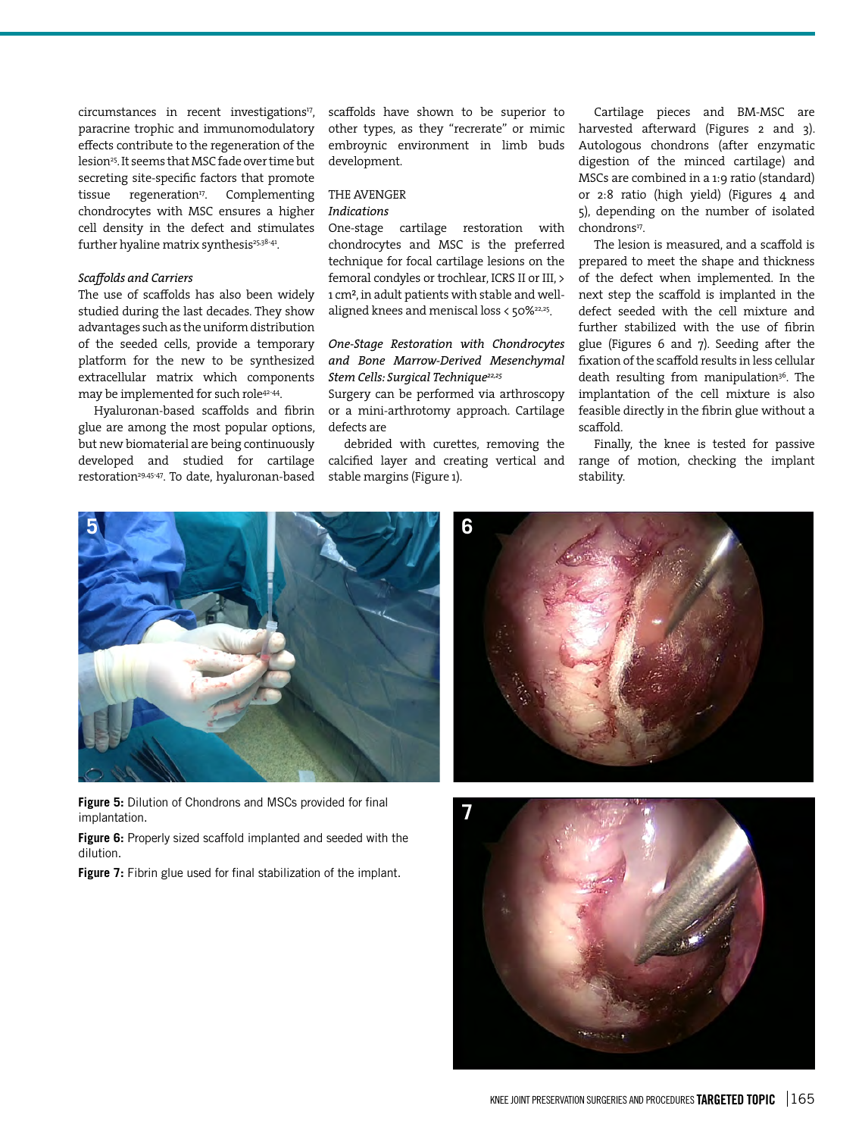circumstances in recent investigations<sup>17</sup>, paracrine trophic and immunomodulatory effects contribute to the regeneration of the lesion<sup>25</sup>. It seems that MSC fade over time but secreting site-specific factors that promote tissue regeneration<sup>17</sup>. Complementing chondrocytes with MSC ensures a higher cell density in the defect and stimulates further hyaline matrix synthesis<sup>25,38-41</sup>.

### *Scaffolds and Carriers*

The use of scaffolds has also been widely studied during the last decades. They show advantages such as the uniform distribution of the seeded cells, provide a temporary platform for the new to be synthesized extracellular matrix which components may be implemented for such role42-44.

Hyaluronan-based scaffolds and fibrin glue are among the most popular options, but new biomaterial are being continuously developed and studied for cartilage restoration<sup>29,45-47</sup>. To date, hyaluronan-based scaffolds have shown to be superior to other types, as they "recrerate" or mimic embroynic environment in limb buds development.

# THE AVENGER

#### *Indications*

One-stage cartilage restoration with chondrocytes and MSC is the preferred technique for focal cartilage lesions on the femoral condyles or trochlear, ICRS II or III, > 1 cm², in adult patients with stable and wellaligned knees and meniscal loss < 50%22,25.

*One-Stage Restoration with Chondrocytes and Bone Marrow-Derived Mesenchymal Stem Cells: Surgical Technique22,25*

Surgery can be performed via arthroscopy or a mini-arthrotomy approach. Cartilage defects are

debrided with curettes, removing the calcified layer and creating vertical and stable margins (Figure 1).

Cartilage pieces and BM-MSC are harvested afterward (Figures 2 and 3). Autologous chondrons (after enzymatic digestion of the minced cartilage) and MSCs are combined in a 1:9 ratio (standard) or 2:8 ratio (high yield) (Figures 4 and 5), depending on the number of isolated chondrons<sup>17</sup>.

The lesion is measured, and a scaffold is prepared to meet the shape and thickness of the defect when implemented. In the next step the scaffold is implanted in the defect seeded with the cell mixture and further stabilized with the use of fibrin glue (Figures 6 and 7). Seeding after the fixation of the scaffold results in less cellular death resulting from manipulation<sup>36</sup>. The implantation of the cell mixture is also feasible directly in the fibrin glue without a scaffold.

Finally, the knee is tested for passive range of motion, checking the implant stability.



**Figure 5:** Dilution of Chondrons and MSCs provided for final implantation.

**Figure 6:** Properly sized scaffold implanted and seeded with the dilution.

**Figure 7:** Fibrin glue used for final stabilization of the implant.